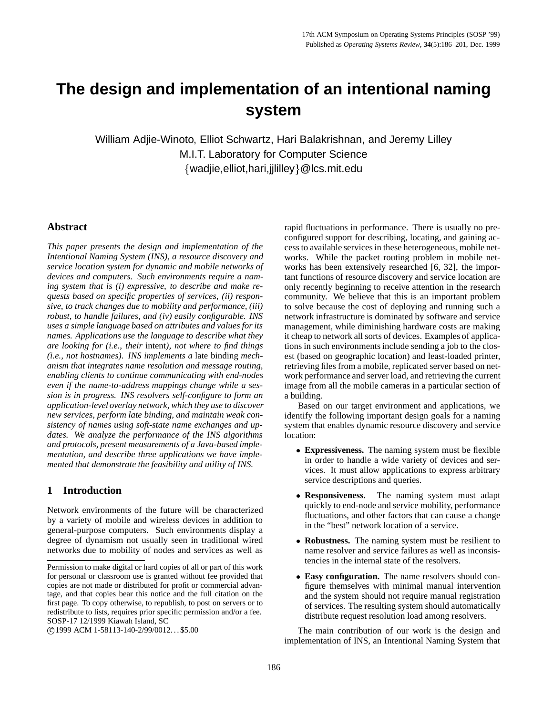# **The design and implementation of an intentional naming system**

William Adjie-Winoto, Elliot Schwartz, Hari Balakrishnan, and Jeremy Lilley M.I.T. Laboratory for Computer Science  $\{wadiie,elliot, hari,ijlilley\}$  @lcs.mit.edu

## **Abstract**

*This paper presents the design and implementation of the Intentional Naming System (INS), a resource discovery and service location system for dynamic and mobile networks of devices and computers. Such environments require a naming system that is (i) expressive, to describe and make requests based on specific properties of services, (ii) responsive, to track changes due to mobility and performance, (iii) robust, to handle failures, and (iv) easily configurable. INS uses a simple language based on attributes and values for its names. Applications use the language to describe what they are looking for (i.e., their* intent*), not where to find things (i.e., not hostnames). INS implements a* late binding *mechanism that integrates name resolution and message routing, enabling clients to continue communicating with end-nodes even if the name-to-address mappings change while a session is in progress. INS resolvers self-configure to form an application-level overlay network, which they use to discover new services, perform late binding, and maintain weak consistency of names using soft-state name exchanges and updates. We analyze the performance of the INS algorithms and protocols, present measurements of a Java-based implementation, and describe three applications we have implemented that demonstrate the feasibility and utility of INS.*

## **1 Introduction**

Network environments of the future will be characterized by a variety of mobile and wireless devices in addition to general-purpose computers. Such environments display a degree of dynamism not usually seen in traditional wired networks due to mobility of nodes and services as well as

rapid fluctuations in performance. There is usually no preconfigured support for describing, locating, and gaining access to available services in these heterogeneous, mobile networks. While the packet routing problem in mobile networks has been extensively researched [6, 32], the important functions of resource discovery and service location are only recently beginning to receive attention in the research community. We believe that this is an important problem to solve because the cost of deploying and running such a network infrastructure is dominated by software and service management, while diminishing hardware costs are making it cheap to network all sorts of devices. Examples of applications in such environments include sending a job to the closest (based on geographic location) and least-loaded printer, retrieving files from a mobile, replicated server based on network performance and server load, and retrieving the current image from all the mobile cameras in a particular section of a building.

Based on our target environment and applications, we identify the following important design goals for a naming system that enables dynamic resource discovery and service location:

- **Expressiveness.** The naming system must be flexible in order to handle a wide variety of devices and services. It must allow applications to express arbitrary service descriptions and queries.
- **Responsiveness.** The naming system must adapt quickly to end-node and service mobility, performance fluctuations, and other factors that can cause a change in the "best" network location of a service.
- **Robustness.** The naming system must be resilient to name resolver and service failures as well as inconsistencies in the internal state of the resolvers.
- **Easy configuration.** The name resolvers should configure themselves with minimal manual intervention and the system should not require manual registration of services. The resulting system should automatically distribute request resolution load among resolvers.

The main contribution of our work is the design and implementation of INS, an Intentional Naming System that

Permission to make digital or hard copies of all or part of this work for personal or classroom use is granted without fee provided that copies are not made or distributed for profit or commercial advantage, and that copies bear this notice and the full citation on the first page. To copy otherwise, to republish, to post on servers or to redistribute to lists, requires prior specific permission and/or a fee. SOSP-17 12/1999 Kiawah Island, SC

c 1999 ACM 1-58113-140-2/99/0012. . . \$5.00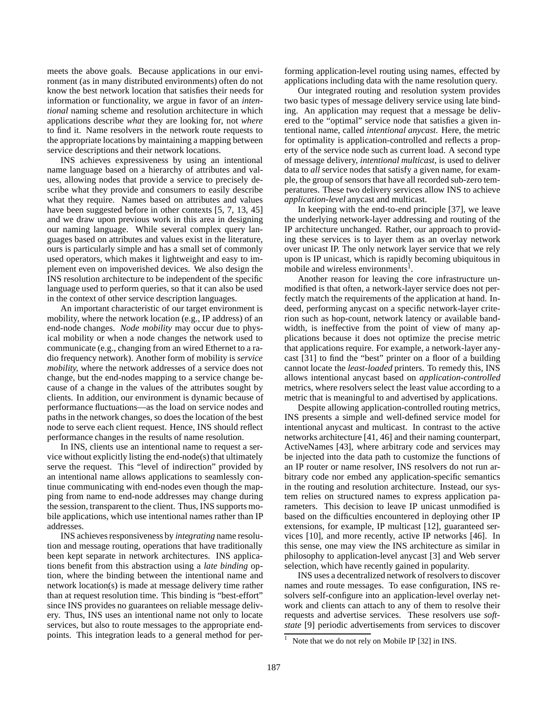meets the above goals. Because applications in our environment (as in many distributed environments) often do not know the best network location that satisfies their needs for information or functionality, we argue in favor of an *intentional* naming scheme and resolution architecture in which applications describe *what* they are looking for, not *where* to find it. Name resolvers in the network route requests to the appropriate locations by maintaining a mapping between service descriptions and their network locations.

INS achieves expressiveness by using an intentional name language based on a hierarchy of attributes and values, allowing nodes that provide a service to precisely describe what they provide and consumers to easily describe what they require. Names based on attributes and values have been suggested before in other contexts [5, 7, 13, 45] and we draw upon previous work in this area in designing our naming language. While several complex query languages based on attributes and values exist in the literature, ours is particularly simple and has a small set of commonly used operators, which makes it lightweight and easy to implement even on impoverished devices. We also design the INS resolution architecture to be independent of the specific language used to perform queries, so that it can also be used in the context of other service description languages.

An important characteristic of our target environment is mobility, where the network location (e.g., IP address) of an end-node changes. *Node mobility* may occur due to physical mobility or when a node changes the network used to communicate (e.g., changing from an wired Ethernet to a radio frequency network). Another form of mobility is *service mobility,* where the network addresses of a service does not change, but the end-nodes mapping to a service change because of a change in the values of the attributes sought by clients. In addition, our environment is dynamic because of performance fluctuations—as the load on service nodes and paths in the network changes, so does the location of the best node to serve each client request. Hence, INS should reflect performance changes in the results of name resolution.

In INS, clients use an intentional name to request a service without explicitly listing the end-node(s) that ultimately serve the request. This "level of indirection" provided by an intentional name allows applications to seamlessly continue communicating with end-nodes even though the mapping from name to end-node addresses may change during the session, transparent to the client. Thus, INS supports mobile applications, which use intentional names rather than IP addresses.

INS achieves responsiveness by *integrating* name resolution and message routing, operations that have traditionally been kept separate in network architectures. INS applications benefit from this abstraction using a *late binding* option, where the binding between the intentional name and network location(s) is made at message delivery time rather than at request resolution time. This binding is "best-effort" since INS provides no guarantees on reliable message delivery. Thus, INS uses an intentional name not only to locate services, but also to route messages to the appropriate endpoints. This integration leads to a general method for performing application-level routing using names, effected by applications including data with the name resolution query.

Our integrated routing and resolution system provides two basic types of message delivery service using late binding. An application may request that a message be delivered to the "optimal" service node that satisfies a given intentional name, called *intentional anycast*. Here, the metric for optimality is application-controlled and reflects a property of the service node such as current load. A second type of message delivery, *intentional multicast,* is used to deliver data to *all* service nodes that satisfy a given name, for example, the group of sensors that have all recorded sub-zero temperatures. These two delivery services allow INS to achieve *application-level* anycast and multicast.

In keeping with the end-to-end principle [37], we leave the underlying network-layer addressing and routing of the IP architecture unchanged. Rather, our approach to providing these services is to layer them as an overlay network over unicast IP. The only network layer service that we rely upon is IP unicast, which is rapidly becoming ubiquitous in mobile and wireless environments<sup>1</sup>.

Another reason for leaving the core infrastructure unmodified is that often, a network-layer service does not perfectly match the requirements of the application at hand. Indeed, performing anycast on a specific network-layer criterion such as hop-count, network latency or available bandwidth, is ineffective from the point of view of many applications because it does not optimize the precise metric that applications require. For example, a network-layer anycast [31] to find the "best" printer on a floor of a building cannot locate the *least-loaded* printers. To remedy this, INS allows intentional anycast based on *application-controlled* metrics, where resolvers select the least value according to a metric that is meaningful to and advertised by applications.

Despite allowing application-controlled routing metrics, INS presents a simple and well-defined service model for intentional anycast and multicast. In contrast to the active networks architecture [41, 46] and their naming counterpart, ActiveNames [43], where arbitrary code and services may be injected into the data path to customize the functions of an IP router or name resolver, INS resolvers do not run arbitrary code nor embed any application-specific semantics in the routing and resolution architecture. Instead, our system relies on structured names to express application parameters. This decision to leave IP unicast unmodified is based on the difficulties encountered in deploying other IP extensions, for example, IP multicast [12], guaranteed services [10], and more recently, active IP networks [46]. In this sense, one may view the INS architecture as similar in philosophy to application-level anycast [3] and Web server selection, which have recently gained in popularity.

INS uses a decentralized network of resolvers to discover names and route messages. To ease configuration, INS resolvers self-configure into an application-level overlay network and clients can attach to any of them to resolve their requests and advertise services. These resolvers use *softstate* [9] periodic advertisements from services to discover

<sup>&</sup>lt;sup>1</sup> Note that we do not rely on Mobile IP [32] in INS.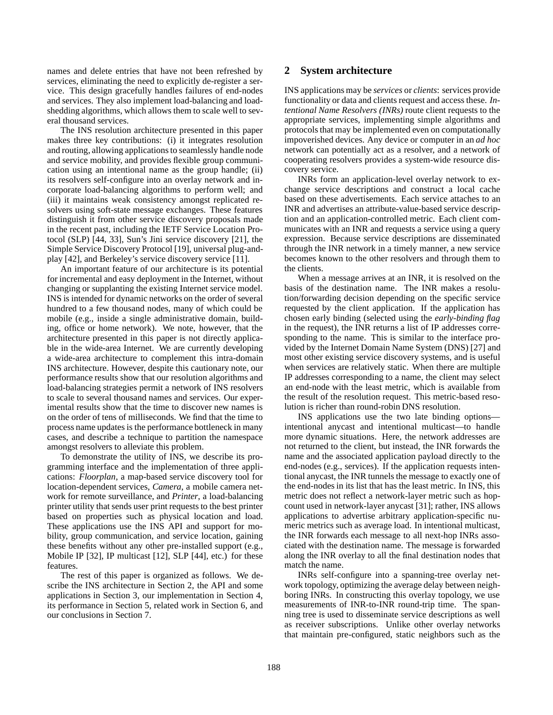names and delete entries that have not been refreshed by services, eliminating the need to explicitly de-register a service. This design gracefully handles failures of end-nodes and services. They also implement load-balancing and loadshedding algorithms, which allows them to scale well to several thousand services.

The INS resolution architecture presented in this paper makes three key contributions: (i) it integrates resolution and routing, allowing applications to seamlessly handle node and service mobility, and provides flexible group communication using an intentional name as the group handle; (ii) its resolvers self-configure into an overlay network and incorporate load-balancing algorithms to perform well; and (iii) it maintains weak consistency amongst replicated resolvers using soft-state message exchanges. These features distinguish it from other service discovery proposals made in the recent past, including the IETF Service Location Protocol (SLP) [44, 33], Sun's Jini service discovery [21], the Simple Service Discovery Protocol [19], universal plug-andplay [42], and Berkeley's service discovery service [11].

An important feature of our architecture is its potential for incremental and easy deployment in the Internet, without changing or supplanting the existing Internet service model. INS is intended for dynamic networks on the order of several hundred to a few thousand nodes, many of which could be mobile (e.g., inside a single administrative domain, building, office or home network). We note, however, that the architecture presented in this paper is not directly applicable in the wide-area Internet. We are currently developing a wide-area architecture to complement this intra-domain INS architecture. However, despite this cautionary note, our performance results show that our resolution algorithms and load-balancing strategies permit a network of INS resolvers to scale to several thousand names and services. Our experimental results show that the time to discover new names is on the order of tens of milliseconds. We find that the time to process name updates is the performance bottleneck in many cases, and describe a technique to partition the namespace amongst resolvers to alleviate this problem.

To demonstrate the utility of INS, we describe its programming interface and the implementation of three applications: *Floorplan*, a map-based service discovery tool for location-dependent services, *Camera*, a mobile camera network for remote surveillance, and *Printer*, a load-balancing printer utility that sends user print requests to the best printer based on properties such as physical location and load. These applications use the INS API and support for mobility, group communication, and service location, gaining these benefits without any other pre-installed support (e.g., Mobile IP [32], IP multicast [12], SLP [44], etc.) for these features.

The rest of this paper is organized as follows. We describe the INS architecture in Section 2, the API and some applications in Section 3, our implementation in Section 4, its performance in Section 5, related work in Section 6, and our conclusions in Section 7.

#### **2 System architecture**

INS applications may be *services* or *clients*: services provide functionality or data and clients request and access these. *Intentional Name Resolvers (INRs)* route client requests to the appropriate services, implementing simple algorithms and protocols that may be implemented even on computationally impoverished devices. Any device or computer in an *ad hoc* network can potentially act as a resolver, and a network of cooperating resolvers provides a system-wide resource discovery service.

INRs form an application-level overlay network to exchange service descriptions and construct a local cache based on these advertisements. Each service attaches to an INR and advertises an attribute-value-based service description and an application-controlled metric. Each client communicates with an INR and requests a service using a query expression. Because service descriptions are disseminated through the INR network in a timely manner, a new service becomes known to the other resolvers and through them to the clients.

When a message arrives at an INR, it is resolved on the basis of the destination name. The INR makes a resolution/forwarding decision depending on the specific service requested by the client application. If the application has chosen early binding (selected using the *early-binding flag* in the request), the INR returns a list of IP addresses corresponding to the name. This is similar to the interface provided by the Internet Domain Name System (DNS) [27] and most other existing service discovery systems, and is useful when services are relatively static. When there are multiple IP addresses corresponding to a name, the client may select an end-node with the least metric, which is available from the result of the resolution request. This metric-based resolution is richer than round-robin DNS resolution.

INS applications use the two late binding options intentional anycast and intentional multicast—to handle more dynamic situations. Here, the network addresses are not returned to the client, but instead, the INR forwards the name and the associated application payload directly to the end-nodes (e.g., services). If the application requests intentional anycast, the INR tunnels the message to exactly one of the end-nodes in its list that has the least metric. In INS, this metric does not reflect a network-layer metric such as hopcount used in network-layer anycast [31]; rather, INS allows applications to advertise arbitrary application-specific numeric metrics such as average load. In intentional multicast, the INR forwards each message to all next-hop INRs associated with the destination name. The message is forwarded along the INR overlay to all the final destination nodes that match the name.

INRs self-configure into a spanning-tree overlay network topology, optimizing the average delay between neighboring INRs. In constructing this overlay topology, we use measurements of INR-to-INR round-trip time. The spanning tree is used to disseminate service descriptions as well as receiver subscriptions. Unlike other overlay networks that maintain pre-configured, static neighbors such as the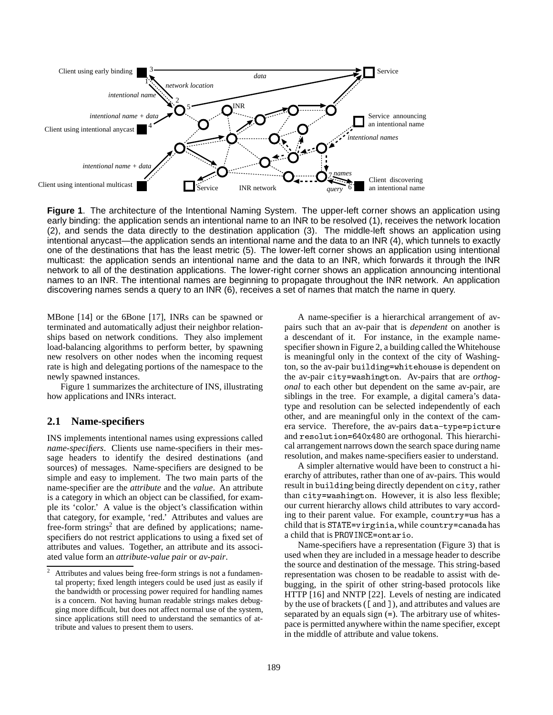

**Figure 1**. The architecture of the Intentional Naming System. The upper-left corner shows an application using early binding: the application sends an intentional name to an INR to be resolved (1), receives the network location (2), and sends the data directly to the destination application (3). The middle-left shows an application using intentional anycast—the application sends an intentional name and the data to an INR (4), which tunnels to exactly one of the destinations that has the least metric (5). The lower-left corner shows an application using intentional multicast: the application sends an intentional name and the data to an INR, which forwards it through the INR network to all of the destination applications. The lower-right corner shows an application announcing intentional names to an INR. The intentional names are beginning to propagate throughout the INR network. An application discovering names sends a query to an INR (6), receives a set of names that match the name in query.

MBone [14] or the 6Bone [17], INRs can be spawned or terminated and automatically adjust their neighbor relationships based on network conditions. They also implement load-balancing algorithms to perform better, by spawning new resolvers on other nodes when the incoming request rate is high and delegating portions of the namespace to the newly spawned instances.

Figure 1 summarizes the architecture of INS, illustrating how applications and INRs interact.

## **2.1 Name-specifiers**

INS implements intentional names using expressions called *name-specifiers*. Clients use name-specifiers in their message headers to identify the desired destinations (and sources) of messages. Name-specifiers are designed to be simple and easy to implement. The two main parts of the name-specifier are the *attribute* and the *value*. An attribute is a category in which an object can be classified, for example its 'color.' A value is the object's classification within that category, for example, 'red.' Attributes and values are free-form strings<sup>2</sup> that are defined by applications; namespecifiers do not restrict applications to using a fixed set of attributes and values. Together, an attribute and its associated value form an *attribute-value pair* or *av-pair*.

A name-specifier is a hierarchical arrangement of avpairs such that an av-pair that is *dependent* on another is a descendant of it. For instance, in the example namespecifier shown in Figure 2, a building called the Whitehouse is meaningful only in the context of the city of Washington, so the av-pair building=whitehouse is dependent on the av-pair city=washington. Av-pairs that are *orthogonal* to each other but dependent on the same av-pair, are siblings in the tree. For example, a digital camera's datatype and resolution can be selected independently of each other, and are meaningful only in the context of the camera service. Therefore, the av-pairs data-type=picture and resolution=640x480 are orthogonal. This hierarchical arrangement narrows down the search space during name resolution, and makes name-specifiers easier to understand.

A simpler alternative would have been to construct a hierarchy of attributes, rather than one of av-pairs. This would result in building being directly dependent on city, rather than city=washington. However, it is also less flexible; our current hierarchy allows child attributes to vary according to their parent value. For example, country=us has a child that is STATE=virginia, while country=canada has a child that is PROVINCE=ontario.

Name-specifiers have a representation (Figure 3) that is used when they are included in a message header to describe the source and destination of the message. This string-based representation was chosen to be readable to assist with debugging, in the spirit of other string-based protocols like HTTP [16] and NNTP [22]. Levels of nesting are indicated by the use of brackets ([ and ]), and attributes and values are separated by an equals sign (=). The arbitrary use of whitespace is permitted anywhere within the name specifier, except in the middle of attribute and value tokens.

Attributes and values being free-form strings is not a fundamental property; fixed length integers could be used just as easily if the bandwidth or processing power required for handling names is a concern. Not having human readable strings makes debugging more difficult, but does not affect normal use of the system, since applications still need to understand the semantics of attribute and values to present them to users.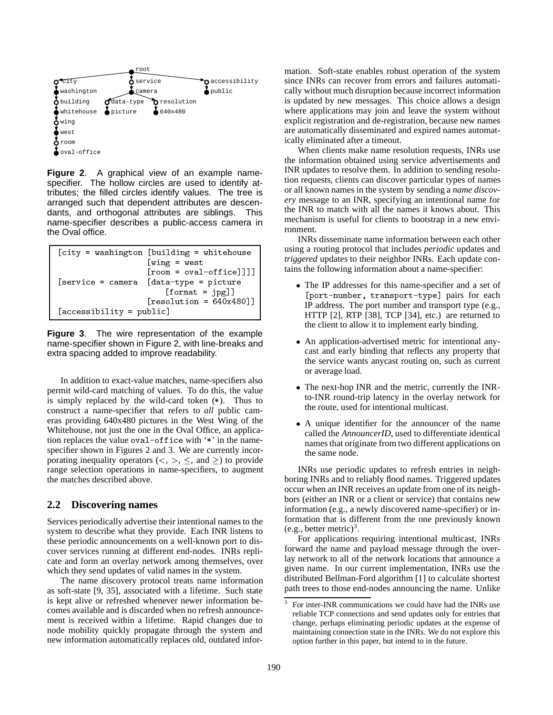

**Figure 2**. A graphical view of an example namespecifier. The hollow circles are used to identify attributes; the filled circles identify values. The tree is arranged such that dependent attributes are descendants, and orthogonal attributes are siblings. This name-specifier describes a public-access camera in the Oval office.

| $[city = washington [building = whitehouse$ | us |
|---------------------------------------------|----|
| $[wing = west$                              | tr |
| $[room = oval-office]]]$                    | ta |
| $[data-type = picture$<br>[service = camera |    |
| $[format = ipg]$                            |    |
| $[resolution = 640x480]]$                   |    |
| $[accessibility = public]$                  |    |

**Figure 3**. The wire representation of the example name-specifier shown in Figure 2, with line-breaks and extra spacing added to improve readability.

In addition to exact-value matches, name-specifiers also permit wild-card matching of values. To do this, the value is simply replaced by the wild-card token (\*). Thus to construct a name-specifier that refers to *all* public cameras providing 640x480 pictures in the West Wing of the Whitehouse, not just the one in the Oval Office, an application replaces the value oval-office with '\*' in the namespecifier shown in Figures 2 and 3. We are currently incorporating inequality operators ( $\lt$ ,  $\gt$ ,  $\le$ , and  $\ge$ ) to provide range selection operations in name-specifiers, to augment the matches described above.

#### **2.2 Discovering names**

Services periodically advertise their intentional names to the system to describe what they provide. Each INR listens to these periodic announcements on a well-known port to discover services running at different end-nodes. INRs replicate and form an overlay network among themselves, over which they send updates of valid names in the system.

The name discovery protocol treats name information as soft-state [9, 35], associated with a lifetime. Such state is kept alive or refreshed whenever newer information becomes available and is discarded when no refresh announcement is received within a lifetime. Rapid changes due to node mobility quickly propagate through the system and new information automatically replaces old, outdated information. Soft-state enables robust operation of the system since INRs can recover from errors and failures automatically without much disruption because incorrect information is updated by new messages. This choice allows a design where applications may join and leave the system without explicit registration and de-registration, because new names are automatically disseminated and expired names automatically eliminated after a timeout.

When clients make name resolution requests, INRs use the information obtained using service advertisements and INR updates to resolve them. In addition to sending resolution requests, clients can discover particular types of names or all known names in the system by sending a *name discovery* message to an INR, specifying an intentional name for the INR to match with all the names it knows about. This mechanism is useful for clients to bootstrap in a new environment.

INRs disseminate name information between each other using a routing protocol that includes *periodic* updates and *triggered* updates to their neighbor INRs. Each update contains the following information about a name-specifier:

- The IP addresses for this name-specifier and a set of [port-number, transport-type] pairs for each IP address. The port number and transport type (e.g., HTTP [2], RTP [38], TCP [34], etc.) are returned to the client to allow it to implement early binding.
- An application-advertised metric for intentional anycast and early binding that reflects any property that the service wants anycast routing on, such as current or average load.
- The next-hop INR and the metric, currently the INRto-INR round-trip latency in the overlay network for the route, used for intentional multicast.
- A unique identifier for the announcer of the name called the *AnnouncerID*, used to differentiate identical names that originate from two different applications on the same node.

INRs use periodic updates to refresh entries in neighboring INRs and to reliably flood names. Triggered updates occur when an INR receives an update from one of its neighbors (either an INR or a client or service) that contains new information (e.g., a newly discovered name-specifier) or information that is different from the one previously known (e.g., better metric)<sup>3</sup>.

For applications requiring intentional multicast, INRs forward the name and payload message through the overlay network to all of the network locations that announce a given name. In our current implementation, INRs use the distributed Bellman-Ford algorithm [1] to calculate shortest path trees to those end-nodes announcing the name. Unlike

<sup>&</sup>lt;sup>3</sup> For inter-INR communications we could have had the INRs use reliable TCP connections and send updates only for entries that change, perhaps eliminating periodic updates at the expense of maintaining connection state in the INRs. We do not explore this option further in this paper, but intend to in the future.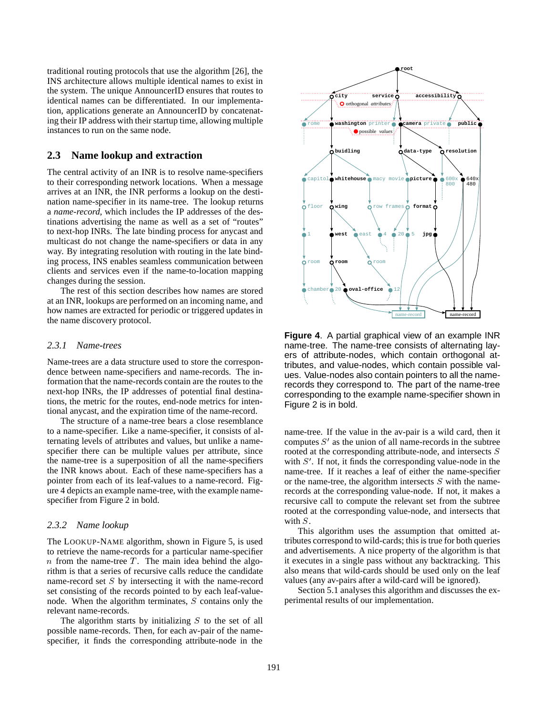traditional routing protocols that use the algorithm [26], the INS architecture allows multiple identical names to exist in the system. The unique AnnouncerID ensures that routes to identical names can be differentiated. In our implementation, applications generate an AnnouncerID by concatenating their IP address with their startup time, allowing multiple instances to run on the same node.

### **2.3 Name lookup and extraction**

The central activity of an INR is to resolve name-specifiers to their corresponding network locations. When a message arrives at an INR, the INR performs a lookup on the destination name-specifier in its name-tree. The lookup returns a *name-record*, which includes the IP addresses of the destinations advertising the name as well as a set of "routes" to next-hop INRs. The late binding process for anycast and multicast do not change the name-specifiers or data in any way. By integrating resolution with routing in the late binding process, INS enables seamless communication between clients and services even if the name-to-location mapping changes during the session.

The rest of this section describes how names are stored at an INR, lookups are performed on an incoming name, and how names are extracted for periodic or triggered updates in the name discovery protocol.

#### *2.3.1 Name-trees*

Name-trees are a data structure used to store the correspondence between name-specifiers and name-records. The information that the name-records contain are the routes to the next-hop INRs, the IP addresses of potential final destinations, the metric for the routes, end-node metrics for intentional anycast, and the expiration time of the name-record.

The structure of a name-tree bears a close resemblance to a name-specifier. Like a name-specifier, it consists of alternating levels of attributes and values, but unlike a namespecifier there can be multiple values per attribute, since the name-tree is a superposition of all the name-specifiers the INR knows about. Each of these name-specifiers has a pointer from each of its leaf-values to a name-record. Figure 4 depicts an example name-tree, with the example namespecifier from Figure 2 in bold.

#### *2.3.2 Name lookup*

The LOOKUP-NAME algorithm, shown in Figure 5, is used to retrieve the name-records for a particular name-specifier  $n$  from the name-tree  $T$ . The main idea behind the algorithm is that a series of recursive calls reduce the candidate name-record set <sup>S</sup> by intersecting it with the name-record set consisting of the records pointed to by each leaf-valuenode. When the algorithm terminates, <sup>S</sup> contains only the relevant name-records.

The algorithm starts by initializing  $S$  to the set of all possible name-records. Then, for each av-pair of the namespecifier, it finds the corresponding attribute-node in the



**Figure 4**. A partial graphical view of an example INR name-tree. The name-tree consists of alternating layers of attribute-nodes, which contain orthogonal attributes, and value-nodes, which contain possible values. Value-nodes also contain pointers to all the namerecords they correspond to. The part of the name-tree corresponding to the example name-specifier shown in Figure 2 is in bold.

name-tree. If the value in the av-pair is a wild card, then it computes  $S'$  as the union of all name-records in the subtree rooted at the corresponding attribute-node, and intersects <sup>S</sup> with  $S'$ . If not, it finds the corresponding value-node in the name-tree. If it reaches a leaf of either the name-specifier or the name-tree, the algorithm intersects  $S$  with the namerecords at the corresponding value-node. If not, it makes a recursive call to compute the relevant set from the subtree rooted at the corresponding value-node, and intersects that with <sup>S</sup>.

This algorithm uses the assumption that omitted attributes correspond to wild-cards; this is true for both queries and advertisements. A nice property of the algorithm is that it executes in a single pass without any backtracking. This also means that wild-cards should be used only on the leaf values (any av-pairs after a wild-card will be ignored).

Section 5.1 analyses this algorithm and discusses the experimental results of our implementation.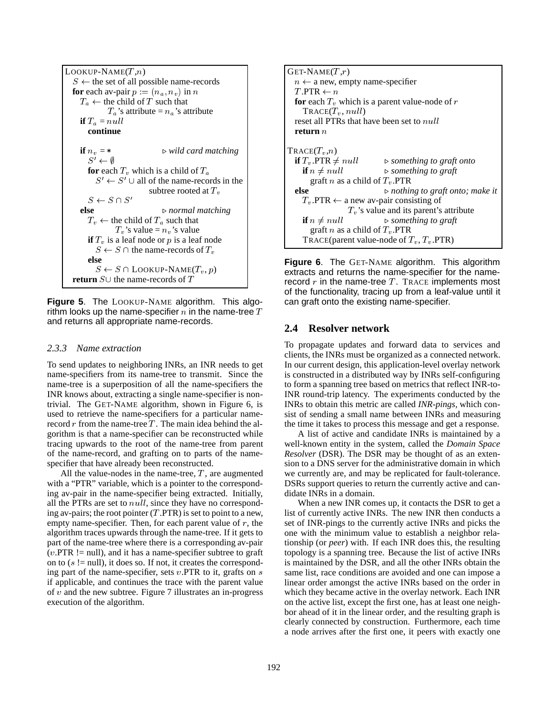$LOOKUP-NAME(T.n)$  $S \leftarrow$  the set of all possible name-records **for** each av-pair  $p := (n_a, n_v)$  in n  $T_a \leftarrow$  the child of T such that  $T_a$ 's attribute =  $n_a$ 's attribute **if**  $T_a = null$ **continue if**  $n_v = *$  .  $\triangleright$  wild card matching  $S' \leftarrow \emptyset$ **for** each  $T_v$  which is a child of  $T_a$  $S' \leftarrow S' \cup$  all of the name-records in the subtree rooted at  $T_v$  $S \leftarrow S \cap S'$ **else** . *normal matching*  $T_v \leftarrow$  the child of  $T_a$  such that  $T_v$ 's value =  $n_v$ 's value **if**  $T_v$  is a leaf node or p is a leaf node  $S \leftarrow S \cap$  the name-records of  $T_v$ **else**  $S \leftarrow S \cap \text{LOOKUP-NAME}(T_v, p)$ **return**  $S \cup$  the name-records of T

**Figure 5**. The LOOKUP-NAME algorithm. This algorithm looks up the name-specifier  $n$  in the name-tree  $T$ and returns all appropriate name-records.

#### *2.3.3 Name extraction*

To send updates to neighboring INRs, an INR needs to get name-specifiers from its name-tree to transmit. Since the name-tree is a superposition of all the name-specifiers the INR knows about, extracting a single name-specifier is nontrivial. The GET-NAME algorithm, shown in Figure 6, is used to retrieve the name-specifiers for a particular namerecord  $r$  from the name-tree  $T$ . The main idea behind the algorithm is that a name-specifier can be reconstructed while tracing upwards to the root of the name-tree from parent of the name-record, and grafting on to parts of the namespecifier that have already been reconstructed.

All the value-nodes in the name-tree,  $T$ , are augmented with a "PTR" variable, which is a pointer to the corresponding av-pair in the name-specifier being extracted. Initially, all the PTRs are set to null, since they have no corresponding av-pairs; the root pointer  $(T.PTR)$  is set to point to a new, empty name-specifier. Then, for each parent value of  $r$ , the algorithm traces upwards through the name-tree. If it gets to part of the name-tree where there is a corresponding av-pair  $(v.PTR != null)$ , and it has a name-specifier subtree to graft on to  $(s \equiv \text{null})$ , it does so. If not, it creates the corresponding part of the name-specifier, sets  $v$ . PTR to it, grafts on  $s$ if applicable, and continues the trace with the parent value of  $v$  and the new subtree. Figure 7 illustrates an in-progress execution of the algorithm.

 $GET-NAME(T, r)$  $n \leftarrow$  a new, empty name-specifier  $T$  .PTR  $\leftarrow$  n **for** each  $T_v$  which is a parent value-node of r  $\text{TRACE}(T_v, null)$ reset all PTRs that have been set to null **return** <sup>n</sup>  $\text{TRACE}(T_v, n)$ **if**  $T_v$ .PTR  $\neq null$   $\triangleright$  something to graft onto **if**  $n \neq null$   $\rightarrow$  something to graft graft n as a child of  $T<sub>v</sub>$ .PTR **else** . *nothing to graft onto; make it*  $T_v$ .PTR  $\leftarrow$  a new av-pair consisting of  $T_v$ 's value and its parent's attribute **if**  $n \neq null$   $\triangleright$  *something to graft* graft n as a child of  $T_v$ . PTR TRACE(parent value-node of  $T_v$ ,  $T_v$ .PTR)

**Figure 6**. The GET-NAME algorithm. This algorithm extracts and returns the name-specifier for the namerecord  $r$  in the name-tree  $T$ . TRACE implements most of the functionality, tracing up from a leaf-value until it can graft onto the existing name-specifier.

## **2.4 Resolver network**

To propagate updates and forward data to services and clients, the INRs must be organized as a connected network. In our current design, this application-level overlay network is constructed in a distributed way by INRs self-configuring to form a spanning tree based on metrics that reflect INR-to-INR round-trip latency. The experiments conducted by the INRs to obtain this metric are called *INR-pings,* which consist of sending a small name between INRs and measuring the time it takes to process this message and get a response.

A list of active and candidate INRs is maintained by a well-known entity in the system, called the *Domain Space Resolver* (DSR). The DSR may be thought of as an extension to a DNS server for the administrative domain in which we currently are, and may be replicated for fault-tolerance. DSRs support queries to return the currently active and candidate INRs in a domain.

When a new INR comes up, it contacts the DSR to get a list of currently active INRs. The new INR then conducts a set of INR-pings to the currently active INRs and picks the one with the minimum value to establish a neighbor relationship (or *peer*) with. If each INR does this, the resulting topology is a spanning tree. Because the list of active INRs is maintained by the DSR, and all the other INRs obtain the same list, race conditions are avoided and one can impose a linear order amongst the active INRs based on the order in which they became active in the overlay network. Each INR on the active list, except the first one, has at least one neighbor ahead of it in the linear order, and the resulting graph is clearly connected by construction. Furthermore, each time a node arrives after the first one, it peers with exactly one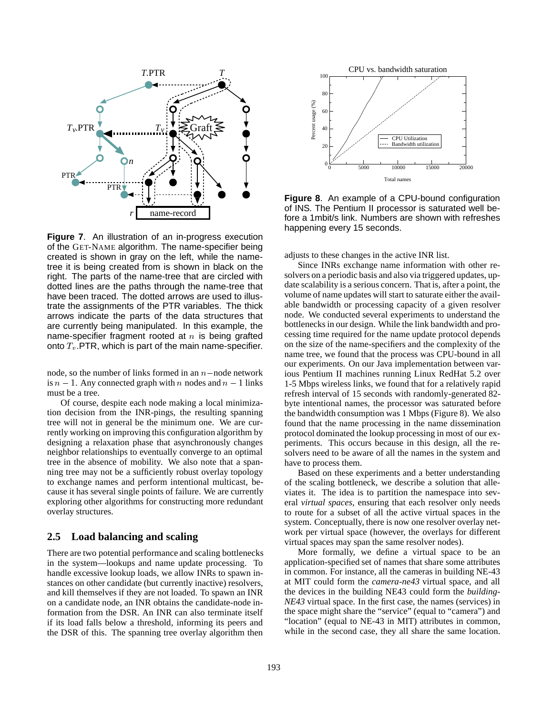

**Figure 7**. An illustration of an in-progress execution of the GET-NAME algorithm. The name-specifier being created is shown in gray on the left, while the nametree it is being created from is shown in black on the right. The parts of the name-tree that are circled with dotted lines are the paths through the name-tree that have been traced. The dotted arrows are used to illustrate the assignments of the PTR variables. The thick arrows indicate the parts of the data structures that are currently being manipulated. In this example, the name-specifier fragment rooted at  $n$  is being grafted onto  $T<sub>v</sub>$ . PTR, which is part of the main name-specifier.

node, so the number of links formed in an  $n$ -node network is  $n - 1$ . Any connected graph with n nodes and  $n - 1$  links must be a tree.

Of course, despite each node making a local minimization decision from the INR-pings, the resulting spanning tree will not in general be the minimum one. We are currently working on improving this configuration algorithm by designing a relaxation phase that asynchronously changes neighbor relationships to eventually converge to an optimal tree in the absence of mobility. We also note that a spanning tree may not be a sufficiently robust overlay topology to exchange names and perform intentional multicast, because it has several single points of failure. We are currently exploring other algorithms for constructing more redundant overlay structures.

## **2.5 Load balancing and scaling**

There are two potential performance and scaling bottlenecks in the system—lookups and name update processing. To handle excessive lookup loads, we allow INRs to spawn instances on other candidate (but currently inactive) resolvers, and kill themselves if they are not loaded. To spawn an INR on a candidate node, an INR obtains the candidate-node information from the DSR. An INR can also terminate itself if its load falls below a threshold, informing its peers and the DSR of this. The spanning tree overlay algorithm then



**Figure 8**. An example of a CPU-bound configuration of INS. The Pentium II processor is saturated well before a 1mbit/s link. Numbers are shown with refreshes happening every 15 seconds.

adjusts to these changes in the active INR list.

Since INRs exchange name information with other resolvers on a periodic basis and also via triggered updates, update scalability is a serious concern. That is, after a point, the volume of name updates will start to saturate either the available bandwidth or processing capacity of a given resolver node. We conducted several experiments to understand the bottlenecks in our design. While the link bandwidth and processing time required for the name update protocol depends on the size of the name-specifiers and the complexity of the name tree, we found that the process was CPU-bound in all our experiments. On our Java implementation between various Pentium II machines running Linux RedHat 5.2 over 1-5 Mbps wireless links, we found that for a relatively rapid refresh interval of 15 seconds with randomly-generated 82 byte intentional names, the processor was saturated before the bandwidth consumption was 1 Mbps (Figure 8). We also found that the name processing in the name dissemination protocol dominated the lookup processing in most of our experiments. This occurs because in this design, all the resolvers need to be aware of all the names in the system and have to process them.

Based on these experiments and a better understanding of the scaling bottleneck, we describe a solution that alleviates it. The idea is to partition the namespace into several *virtual spaces*, ensuring that each resolver only needs to route for a subset of all the active virtual spaces in the system. Conceptually, there is now one resolver overlay network per virtual space (however, the overlays for different virtual spaces may span the same resolver nodes).

More formally, we define a virtual space to be an application-specified set of names that share some attributes in common. For instance, all the cameras in building NE-43 at MIT could form the *camera-ne43* virtual space, and all the devices in the building NE43 could form the *building-NE43* virtual space. In the first case, the names (services) in the space might share the "service" (equal to "camera") and "location" (equal to NE-43 in MIT) attributes in common, while in the second case, they all share the same location.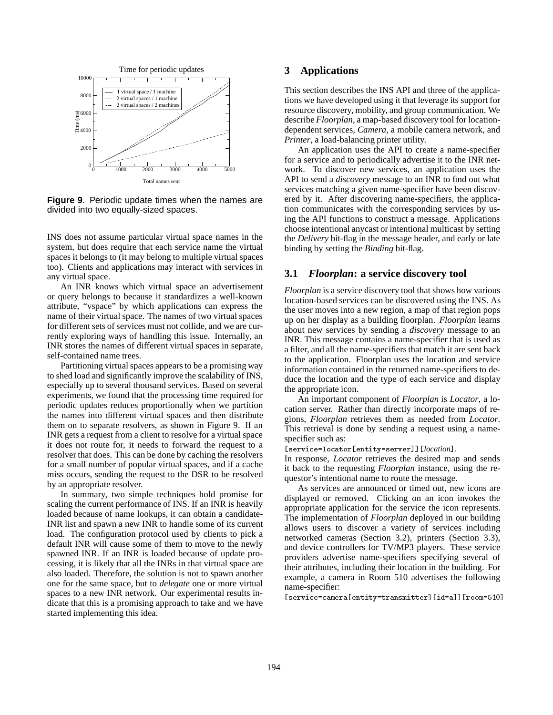

**Figure 9**. Periodic update times when the names are divided into two equally-sized spaces.

INS does not assume particular virtual space names in the system, but does require that each service name the virtual spaces it belongs to (it may belong to multiple virtual spaces too). Clients and applications may interact with services in any virtual space.

An INR knows which virtual space an advertisement or query belongs to because it standardizes a well-known attribute, "vspace" by which applications can express the name of their virtual space. The names of two virtual spaces for different sets of services must not collide, and we are currently exploring ways of handling this issue. Internally, an INR stores the names of different virtual spaces in separate, self-contained name trees.

Partitioning virtual spaces appears to be a promising way to shed load and significantly improve the scalability of INS, especially up to several thousand services. Based on several experiments, we found that the processing time required for periodic updates reduces proportionally when we partition the names into different virtual spaces and then distribute them on to separate resolvers, as shown in Figure 9. If an INR gets a request from a client to resolve for a virtual space it does not route for, it needs to forward the request to a resolver that does. This can be done by caching the resolvers for a small number of popular virtual spaces, and if a cache miss occurs, sending the request to the DSR to be resolved by an appropriate resolver.

In summary, two simple techniques hold promise for scaling the current performance of INS. If an INR is heavily loaded because of name lookups, it can obtain a candidate-INR list and spawn a new INR to handle some of its current load. The configuration protocol used by clients to pick a default INR will cause some of them to move to the newly spawned INR. If an INR is loaded because of update processing, it is likely that all the INRs in that virtual space are also loaded. Therefore, the solution is not to spawn another one for the same space, but to *delegate* one or more virtual spaces to a new INR network. Our experimental results indicate that this is a promising approach to take and we have started implementing this idea.

## **3 Applications**

This section describes the INS API and three of the applications we have developed using it that leverage its support for resource discovery, mobility, and group communication. We describe *Floorplan*, a map-based discovery tool for locationdependent services, *Camera*, a mobile camera network, and *Printer*, a load-balancing printer utility.

An application uses the API to create a name-specifier for a service and to periodically advertise it to the INR network. To discover new services, an application uses the API to send a *discovery* message to an INR to find out what services matching a given name-specifier have been discovered by it. After discovering name-specifiers, the application communicates with the corresponding services by using the API functions to construct a message. Applications choose intentional anycast or intentional multicast by setting the *Delivery* bit-flag in the message header, and early or late binding by setting the *Binding* bit-flag.

## **3.1** *Floorplan***: a service discovery tool**

*Floorplan* is a service discovery tool that shows how various location-based services can be discovered using the INS. As the user moves into a new region, a map of that region pops up on her display as a building floorplan. *Floorplan* learns about new services by sending a *discovery* message to an INR. This message contains a name-specifier that is used as a filter, and all the name-specifiers that match it are sent back to the application. Floorplan uses the location and service information contained in the returned name-specifiers to deduce the location and the type of each service and display the appropriate icon.

An important component of *Floorplan* is *Locator*, a location server. Rather than directly incorporate maps of regions, *Floorplan* retrieves them as needed from *Locator*. This retrieval is done by sending a request using a namespecifier such as:

[service=locator[entity=server]][*location*].

In response, *Locator* retrieves the desired map and sends it back to the requesting *Floorplan* instance, using the requestor's intentional name to route the message.

As services are announced or timed out, new icons are displayed or removed. Clicking on an icon invokes the appropriate application for the service the icon represents. The implementation of *Floorplan* deployed in our building allows users to discover a variety of services including networked cameras (Section 3.2), printers (Section 3.3), and device controllers for TV/MP3 players. These service providers advertise name-specifiers specifying several of their attributes, including their location in the building. For example, a camera in Room 510 advertises the following name-specifier:

[service=camera[entity=transmitter][id=a]][room=510]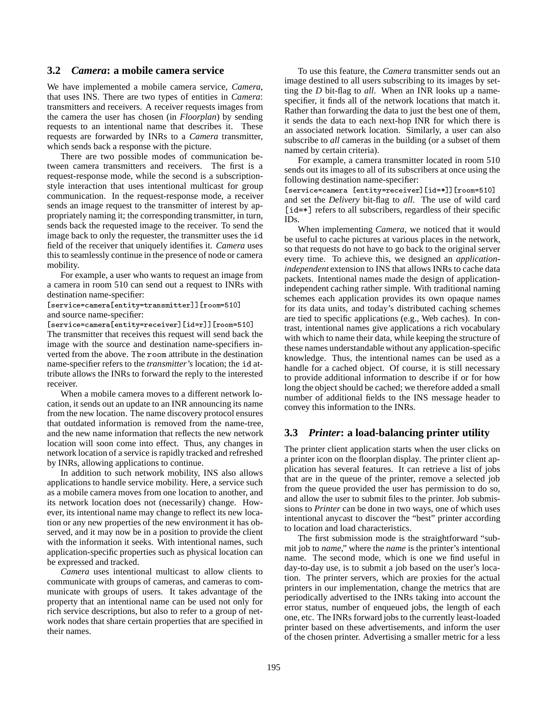## **3.2** *Camera***: a mobile camera service**

We have implemented a mobile camera service, *Camera*, that uses INS. There are two types of entities in *Camera*: transmitters and receivers. A receiver requests images from the camera the user has chosen (in *Floorplan*) by sending requests to an intentional name that describes it. These requests are forwarded by INRs to a *Camera* transmitter, which sends back a response with the picture.

There are two possible modes of communication between camera transmitters and receivers. The first is a request-response mode, while the second is a subscriptionstyle interaction that uses intentional multicast for group communication. In the request-response mode, a receiver sends an image request to the transmitter of interest by appropriately naming it; the corresponding transmitter, in turn, sends back the requested image to the receiver. To send the image back to only the requester, the transmitter uses the id field of the receiver that uniquely identifies it. *Camera* uses this to seamlessly continue in the presence of node or camera mobility.

For example, a user who wants to request an image from a camera in room 510 can send out a request to INRs with destination name-specifier:

[service=camera[entity=transmitter]][room=510]and source name-specifier:

[service=camera[entity=receiver][id=r]][room=510]The transmitter that receives this request will send back the image with the source and destination name-specifiers inverted from the above. The room attribute in the destination name-specifier refers to the *transmitter's* location; the id attribute allows the INRs to forward the reply to the interested receiver.

When a mobile camera moves to a different network location, it sends out an update to an INR announcing its name from the new location. The name discovery protocol ensures that outdated information is removed from the name-tree, and the new name information that reflects the new network location will soon come into effect. Thus, any changes in network location of a service is rapidly tracked and refreshed by INRs, allowing applications to continue.

In addition to such network mobility, INS also allows applications to handle service mobility. Here, a service such as a mobile camera moves from one location to another, and its network location does not (necessarily) change. However, its intentional name may change to reflect its new location or any new properties of the new environment it has observed, and it may now be in a position to provide the client with the information it seeks. With intentional names, such application-specific properties such as physical location can be expressed and tracked.

*Camera* uses intentional multicast to allow clients to communicate with groups of cameras, and cameras to communicate with groups of users. It takes advantage of the property that an intentional name can be used not only for rich service descriptions, but also to refer to a group of network nodes that share certain properties that are specified in their names.

To use this feature, the *Camera* transmitter sends out an image destined to all users subscribing to its images by setting the *D* bit-flag to *all*. When an INR looks up a namespecifier, it finds all of the network locations that match it. Rather than forwarding the data to just the best one of them, it sends the data to each next-hop INR for which there is an associated network location. Similarly, a user can also subscribe to *all* cameras in the building (or a subset of them named by certain criteria).

For example, a camera transmitter located in room 510 sends out its images to all of its subscribers at once using the following destination name-specifier:

[service=camera [entity=receiver][id=\*]][room=510] and set the *Delivery* bit-flag to *all*. The use of wild card [id=\*] refers to all subscribers, regardless of their specific IDs.

 trast, intentional names give applications a rich vocabulary When implementing *Camera*, we noticed that it would be useful to cache pictures at various places in the network, so that requests do not have to go back to the original server every time. To achieve this, we designed an *applicationindependent* extension to INS that allows INRs to cache data packets. Intentional names made the design of applicationindependent caching rather simple. With traditional naming schemes each application provides its own opaque names for its data units, and today's distributed caching schemes are tied to specific applications (e.g., Web caches). In conwith which to name their data, while keeping the structure of these names understandable without any application-specific knowledge. Thus, the intentional names can be used as a handle for a cached object. Of course, it is still necessary to provide additional information to describe if or for how long the object should be cached; we therefore added a small number of additional fields to the INS message header to convey this information to the INRs.

#### **3.3** *Printer***: a load-balancing printer utility**

The printer client application starts when the user clicks on a printer icon on the floorplan display. The printer client application has several features. It can retrieve a list of jobs that are in the queue of the printer, remove a selected job from the queue provided the user has permission to do so, and allow the user to submit files to the printer. Job submissions to *Printer* can be done in two ways, one of which uses intentional anycast to discover the "best" printer according to location and load characteristics.

The first submission mode is the straightforward "submit job to *name*," where the *name* is the printer's intentional name. The second mode, which is one we find useful in day-to-day use, is to submit a job based on the user's location. The printer servers, which are proxies for the actual printers in our implementation, change the metrics that are periodically advertised to the INRs taking into account the error status, number of enqueued jobs, the length of each one, etc. The INRs forward jobs to the currently least-loaded printer based on these advertisements, and inform the user of the chosen printer. Advertising a smaller metric for a less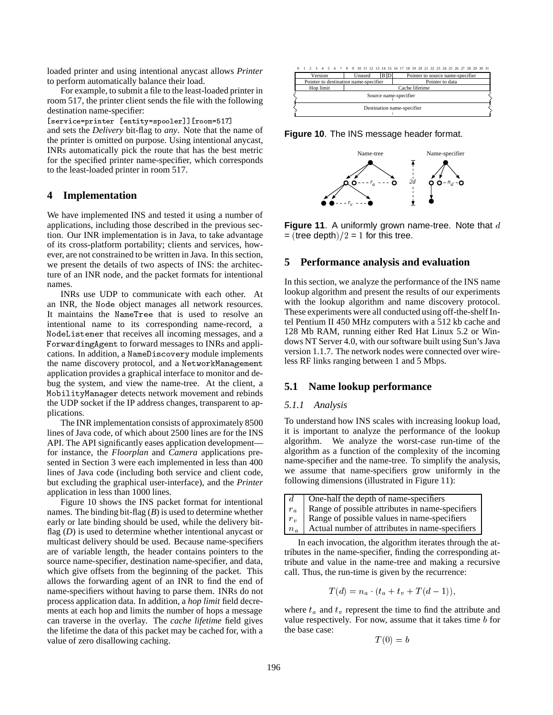loaded printer and using intentional anycast allows *Printer* to perform automatically balance their load.

For example, to submit a file to the least-loaded printer in room 517, the printer client sends the file with the following destination name-specifier:

[service=printer [entity=spooler]][room=517]

and sets the *Delivery* bit-flag to *any*. Note that the name of the printer is omitted on purpose. Using intentional anycast, INRs automatically pick the route that has the best metric for the specified printer name-specifier, which corresponds to the least-loaded printer in room 517.

## **4 Implementation**

We have implemented INS and tested it using a number of applications, including those described in the previous section. Our INR implementation is in Java, to take advantage of its cross-platform portability; clients and services, however, are not constrained to be written in Java. In this section, we present the details of two aspects of INS: the architecture of an INR node, and the packet formats for intentional names.

INRs use UDP to communicate with each other. At an INR, the Node object manages all network resources. It maintains the NameTree that is used to resolve an intentional name to its corresponding name-record, a NodeListener that receives all incoming messages, and a ForwardingAgent to forward messages to INRs and applications. In addition, a NameDiscovery module implements the name discovery protocol, and a NetworkManagement application provides a graphical interface to monitor and debug the system, and view the name-tree. At the client, a MobilityManager detects network movement and rebinds the UDP socket if the IP address changes, transparent to applications.

The INR implementation consists of approximately 8500 lines of Java code, of which about 2500 lines are for the INS API. The API significantly eases application development for instance, the *Floorplan* and *Camera* applications presented in Section 3 were each implemented in less than 400 lines of Java code (including both service and client code, but excluding the graphical user-interface), and the *Printer* application in less than 1000 lines.

Figure 10 shows the INS packet format for intentional names. The binding bit-flag (*B*) is used to determine whether early or late binding should be used, while the delivery bitflag (*D*) is used to determine whether intentional anycast or multicast delivery should be used. Because name-specifiers are of variable length, the header contains pointers to the source name-specifier, destination name-specifier, and data, which give offsets from the beginning of the packet. This allows the forwarding agent of an INR to find the end of name-specifiers without having to parse them. INRs do not process application data. In addition, a *hop limit* field decrements at each hop and limits the number of hops a message can traverse in the overlay. The *cache lifetime* field gives the lifetime the data of this packet may be cached for, with a value of zero disallowing caching.

|                       |                                                               |  |  |  |  |  |  | 0 1 2 3 4 5 6 7 8 9 10 11 12 13 14 15 16 17 18 19 20 21 22 23 24 25 26 27 28 29 30 31 |  |  |  |  |  |                            |  |  |  |  |                 |  |  |  |  |
|-----------------------|---------------------------------------------------------------|--|--|--|--|--|--|---------------------------------------------------------------------------------------|--|--|--|--|--|----------------------------|--|--|--|--|-----------------|--|--|--|--|
|                       | Pointer to source name-specifier<br>Version<br>Unused<br> B D |  |  |  |  |  |  |                                                                                       |  |  |  |  |  |                            |  |  |  |  |                 |  |  |  |  |
|                       |                                                               |  |  |  |  |  |  | Pointer to destination name-specifier                                                 |  |  |  |  |  |                            |  |  |  |  | Pointer to data |  |  |  |  |
|                       | Hop limit<br>Cache lifetime                                   |  |  |  |  |  |  |                                                                                       |  |  |  |  |  |                            |  |  |  |  |                 |  |  |  |  |
| Source name-specifier |                                                               |  |  |  |  |  |  |                                                                                       |  |  |  |  |  |                            |  |  |  |  |                 |  |  |  |  |
|                       |                                                               |  |  |  |  |  |  |                                                                                       |  |  |  |  |  | Destination name-specifier |  |  |  |  |                 |  |  |  |  |

**Figure 10**. The INS message header format.



**Figure 11.** A uniformly grown name-tree. Note that d  $=$  (tree depth)/2 = 1 for this tree.

### **5 Performance analysis and evaluation**

In this section, we analyze the performance of the INS name lookup algorithm and present the results of our experiments with the lookup algorithm and name discovery protocol. These experiments were all conducted using off-the-shelf Intel Pentium II 450 MHz computers with a 512 kb cache and 128 Mb RAM, running either Red Hat Linux 5.2 or Windows NT Server 4.0, with our software built using Sun's Java version 1.1.7. The network nodes were connected over wireless RF links ranging between 1 and 5 Mbps.

#### **5.1 Name lookup performance**

#### *5.1.1 Analysis*

To understand how INS scales with increasing lookup load, it is important to analyze the performance of the lookup algorithm. We analyze the worst-case run-time of the algorithm as a function of the complexity of the incoming name-specifier and the name-tree. To simplify the analysis, we assume that name-specifiers grow uniformly in the following dimensions (illustrated in Figure 11):

| d         | One-half the depth of name-specifiers           |
|-----------|-------------------------------------------------|
| $r_a$     | Range of possible attributes in name-specifiers |
| $r_{\nu}$ | Range of possible values in name-specifiers     |
| $n_a$     | Actual number of attributes in name-specifiers  |

In each invocation, the algorithm iterates through the attributes in the name-specifier, finding the corresponding attribute and value in the name-tree and making a recursive call. Thus, the run-time is given by the recurrence:

$$
T(d) = n_a \cdot (t_a + t_v + T(d-1)),
$$

where  $t_a$  and  $t_v$  represent the time to find the attribute and value respectively. For now, assume that it takes time  *for* the base case:

$$
T(0) = b
$$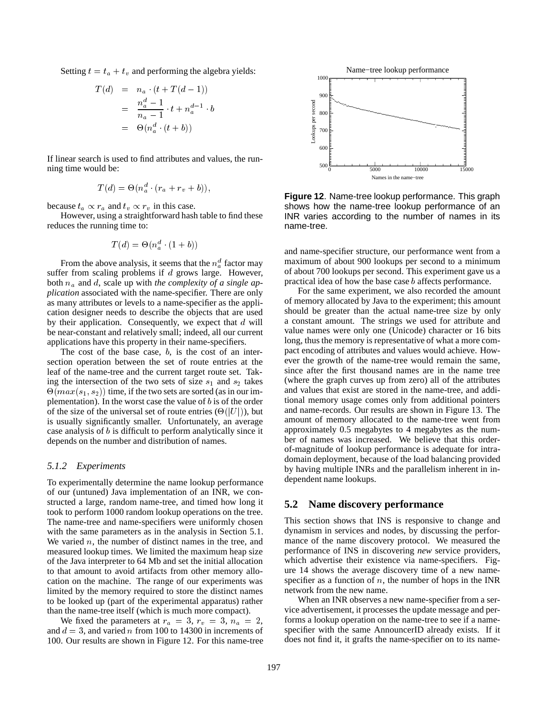Setting  $t = t_a + t_v$  and performing the algebra yields:

$$
T(d) = n_a \cdot (t + T(d - 1))
$$
  
= 
$$
\frac{n_a^d - 1}{n_a - 1} \cdot t + n_a^{d-1} \cdot b
$$
  
= 
$$
\Theta(n_a^d \cdot (t + b))
$$

If linear search is used to find attributes and values, the running time would be:

$$
T(d) = \Theta(n_a^d \cdot (r_a + r_v + b)),
$$

because  $t_a \propto r_a$  and  $t_v \propto r_v$  in this case.

However, using a straightforward hash table to find these reduces the running time to:

$$
T(d) = \Theta(n_a^d \cdot (1+b))
$$

From the above analysis, it seems that the  $n_a^d$  factor may suffer from scaling problems if d grows large. However, both na and <sup>d</sup>, scale up with *the complexity of a single application* associated with the name-specifier. There are only as many attributes or levels to a name-specifier as the application designer needs to describe the objects that are used by their application. Consequently, we expect that  $d$  will be near-constant and relatively small; indeed, all our current applications have this property in their name-specifiers.

The cost of the base case,  $b$ , is the cost of an intersection operation between the set of route entries at the leaf of the name-tree and the current target route set. Taking the intersection of the two sets of size  $s_1$  and  $s_2$  takes  $\Theta(max(s_1, s_2))$  time, if the two sets are sorted (as in our implementation). In the worst case the value of  $b$  is of the order of the size of the universal set of route entries  $(\Theta(|U|))$ , but is usually significantly smaller. Unfortunately, an average case analysis of  $b$  is difficult to perform analytically since it depends on the number and distribution of names.

#### *5.1.2 Experiments*

To experimentally determine the name lookup performance of our (untuned) Java implementation of an INR, we constructed a large, random name-tree, and timed how long it took to perform 1000 random lookup operations on the tree. The name-tree and name-specifiers were uniformly chosen with the same parameters as in the analysis in Section 5.1. We varied  $n$ , the number of distinct names in the tree, and measured lookup times. We limited the maximum heap size of the Java interpreter to 64 Mb and set the initial allocation to that amount to avoid artifacts from other memory allocation on the machine. The range of our experiments was limited by the memory required to store the distinct names to be looked up (part of the experimental apparatus) rather than the name-tree itself (which is much more compact).

We fixed the parameters at  $r_a = 3$ ,  $r_v = 3$ ,  $n_a = 2$ , and  $d = 3$ , and varied n from 100 to 14300 in increments of 100. Our results are shown in Figure 12. For this name-tree



**Figure 12**. Name-tree lookup performance. This graph shows how the name-tree lookup performance of an INR varies according to the number of names in its name-tree.

and name-specifier structure, our performance went from a maximum of about 900 lookups per second to a minimum of about 700 lookups per second. This experiment gave us a practical idea of how the base case <sup>b</sup> affects performance.

For the same experiment, we also recorded the amount of memory allocated by Java to the experiment; this amount should be greater than the actual name-tree size by only a constant amount. The strings we used for attribute and value names were only one (Unicode) character or 16 bits long, thus the memory is representative of what a more compact encoding of attributes and values would achieve. However the growth of the name-tree would remain the same, since after the first thousand names are in the name tree (where the graph curves up from zero) all of the attributes and values that exist are stored in the name-tree, and additional memory usage comes only from additional pointers and name-records. Our results are shown in Figure 13. The amount of memory allocated to the name-tree went from approximately 0.5 megabytes to 4 megabytes as the number of names was increased. We believe that this orderof-magnitude of lookup performance is adequate for intradomain deployment, because of the load balancing provided by having multiple INRs and the parallelism inherent in independent name lookups.

#### **5.2 Name discovery performance**

This section shows that INS is responsive to change and dynamism in services and nodes, by discussing the performance of the name discovery protocol. We measured the performance of INS in discovering *new* service providers, which advertise their existence via name-specifiers. Figure 14 shows the average discovery time of a new namespecifier as a function of  $n$ , the number of hops in the INR network from the new name.

When an INR observes a new name-specifier from a service advertisement, it processes the update message and performs a lookup operation on the name-tree to see if a namespecifier with the same AnnouncerID already exists. If it does not find it, it grafts the name-specifier on to its name-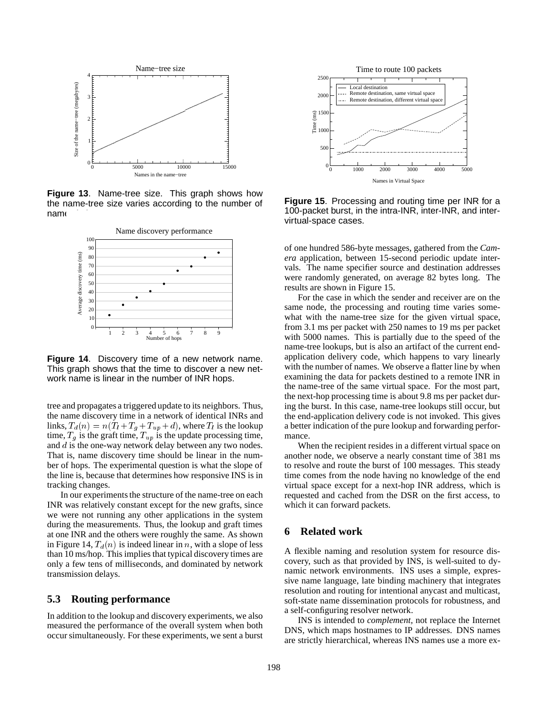

**Figure 13**. Name-tree size. This graph shows how the name-tree size varies according to the number of name



**Figure 14**. Discovery time of a new network name. This graph shows that the time to discover a new network name is linear in the number of INR hops.

tree and propagates a triggered update to its neighbors. Thus, the name discovery time in a network of identical INRs and links,  $T_d(n) = n(T_l + T_g + T_{up} + d)$ , where  $T_l$  is the lookup time,  $T_g$  is the graft time,  $T_{up}$  is the update processing time, and d is the one-way network delay between any two nodes. That is, name discovery time should be linear in the number of hops. The experimental question is what the slope of the line is, because that determines how responsive INS is in tracking changes.

In our experiments the structure of the name-tree on each INR was relatively constant except for the new grafts, since we were not running any other applications in the system during the measurements. Thus, the lookup and graft times at one INR and the others were roughly the same. As shown in Figure 14,  $T_d(n)$  is indeed linear in n, with a slope of less than 10 ms/hop. This implies that typical discovery times are only a few tens of milliseconds, and dominated by network transmission delays.

## **5.3 Routing performance**

In addition to the lookup and discovery experiments, we also measured the performance of the overall system when both occur simultaneously. For these experiments, we sent a burst



**Figure 15**. Processing and routing time per INR for a 100-packet burst, in the intra-INR, inter-INR, and intervirtual-space cases.

of one hundred 586-byte messages, gathered from the *Camera* application, between 15-second periodic update intervals. The name specifier source and destination addresses were randomly generated, on average 82 bytes long. The results are shown in Figure 15.

For the case in which the sender and receiver are on the same node, the processing and routing time varies somewhat with the name-tree size for the given virtual space, from 3.1 ms per packet with 250 names to 19 ms per packet with 5000 names. This is partially due to the speed of the name-tree lookups, but is also an artifact of the current endapplication delivery code, which happens to vary linearly with the number of names. We observe a flatter line by when examining the data for packets destined to a remote INR in the name-tree of the same virtual space. For the most part, the next-hop processing time is about 9.8 ms per packet during the burst. In this case, name-tree lookups still occur, but the end-application delivery code is not invoked. This gives a better indication of the pure lookup and forwarding performance.

When the recipient resides in a different virtual space on another node, we observe a nearly constant time of 381 ms to resolve and route the burst of 100 messages. This steady time comes from the node having no knowledge of the end virtual space except for a next-hop INR address, which is requested and cached from the DSR on the first access, to which it can forward packets.

## **6 Related work**

A flexible naming and resolution system for resource discovery, such as that provided by INS, is well-suited to dynamic network environments. INS uses a simple, expressive name language, late binding machinery that integrates resolution and routing for intentional anycast and multicast, soft-state name dissemination protocols for robustness, and a self-configuring resolver network.

INS is intended to *complement,* not replace the Internet DNS, which maps hostnames to IP addresses. DNS names are strictly hierarchical, whereas INS names use a more ex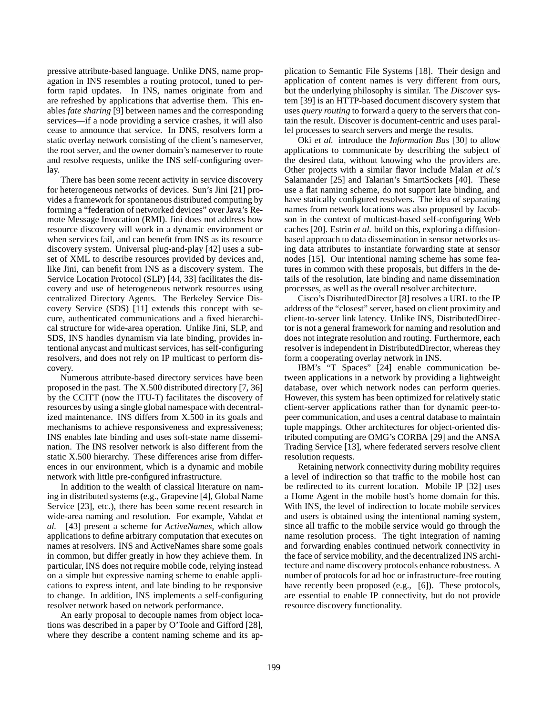pressive attribute-based language. Unlike DNS, name propagation in INS resembles a routing protocol, tuned to perform rapid updates. In INS, names originate from and are refreshed by applications that advertise them. This enables *fate sharing* [9] between names and the corresponding services—if a node providing a service crashes, it will also cease to announce that service. In DNS, resolvers form a static overlay network consisting of the client's nameserver, the root server, and the owner domain's nameserver to route and resolve requests, unlike the INS self-configuring overlay.

There has been some recent activity in service discovery for heterogeneous networks of devices. Sun's Jini [21] provides a framework for spontaneous distributed computing by forming a "federation of networked devices" over Java's Remote Message Invocation (RMI). Jini does not address how resource discovery will work in a dynamic environment or when services fail, and can benefit from INS as its resource discovery system. Universal plug-and-play [42] uses a subset of XML to describe resources provided by devices and, like Jini, can benefit from INS as a discovery system. The Service Location Protocol (SLP) [44, 33] facilitates the discovery and use of heterogeneous network resources using centralized Directory Agents. The Berkeley Service Discovery Service (SDS) [11] extends this concept with secure, authenticated communications and a fixed hierarchical structure for wide-area operation. Unlike Jini, SLP, and SDS, INS handles dynamism via late binding, provides intentional anycast and multicast services, has self-configuring resolvers, and does not rely on IP multicast to perform discovery.

Numerous attribute-based directory services have been proposed in the past. The X.500 distributed directory [7, 36] by the CCITT (now the ITU-T) facilitates the discovery of resources by using a single global namespace with decentralized maintenance. INS differs from X.500 in its goals and mechanisms to achieve responsiveness and expressiveness; INS enables late binding and uses soft-state name dissemination. The INS resolver network is also different from the static X.500 hierarchy. These differences arise from differences in our environment, which is a dynamic and mobile network with little pre-configured infrastructure.

In addition to the wealth of classical literature on naming in distributed systems (e.g., Grapevine [4], Global Name Service [23], etc.), there has been some recent research in wide-area naming and resolution. For example, Vahdat *et al.* [43] present a scheme for *ActiveNames,* which allow applications to define arbitrary computation that executes on names at resolvers. INS and ActiveNames share some goals in common, but differ greatly in how they achieve them. In particular, INS does not require mobile code, relying instead on a simple but expressive naming scheme to enable applications to express intent, and late binding to be responsive to change. In addition, INS implements a self-configuring resolver network based on network performance.

An early proposal to decouple names from object locations was described in a paper by O'Toole and Gifford [28], where they describe a content naming scheme and its application to Semantic File Systems [18]. Their design and application of content names is very different from ours, but the underlying philosophy is similar. The *Discover* system [39] is an HTTP-based document discovery system that uses *query routing* to forward a query to the servers that contain the result. Discover is document-centric and uses parallel processes to search servers and merge the results.

Oki *et al.* introduce the *Information Bus* [30] to allow applications to communicate by describing the subject of the desired data, without knowing who the providers are. Other projects with a similar flavor include Malan *et al.'s* Salamander [25] and Talarian's SmartSockets [40]. These use a flat naming scheme, do not support late binding, and have statically configured resolvers. The idea of separating names from network locations was also proposed by Jacobson in the context of multicast-based self-configuring Web caches [20]. Estrin *et al.* build on this, exploring a diffusionbased approach to data dissemination in sensor networks using data attributes to instantiate forwarding state at sensor nodes [15]. Our intentional naming scheme has some features in common with these proposals, but differs in the details of the resolution, late binding and name dissemination processes, as well as the overall resolver architecture.

Cisco's DistributedDirector [8] resolves a URL to the IP address of the "closest" server, based on client proximity and client-to-server link latency. Unlike INS, DistributedDirector is not a general framework for naming and resolution and does not integrate resolution and routing. Furthermore, each resolver is independent in DistributedDirector, whereas they form a cooperating overlay network in INS.

IBM's "T Spaces" [24] enable communication between applications in a network by providing a lightweight database, over which network nodes can perform queries. However, this system has been optimized for relatively static client-server applications rather than for dynamic peer-topeer communication, and uses a central database to maintain tuple mappings. Other architectures for object-oriented distributed computing are OMG's CORBA [29] and the ANSA Trading Service [13], where federated servers resolve client resolution requests.

Retaining network connectivity during mobility requires a level of indirection so that traffic to the mobile host can be redirected to its current location. Mobile IP [32] uses a Home Agent in the mobile host's home domain for this. With INS, the level of indirection to locate mobile services and users is obtained using the intentional naming system, since all traffic to the mobile service would go through the name resolution process. The tight integration of naming and forwarding enables continued network connectivity in the face of service mobility, and the decentralized INS architecture and name discovery protocols enhance robustness. A number of protocols for ad hoc or infrastructure-free routing have recently been proposed (e.g., [6]). These protocols, are essential to enable IP connectivity, but do not provide resource discovery functionality.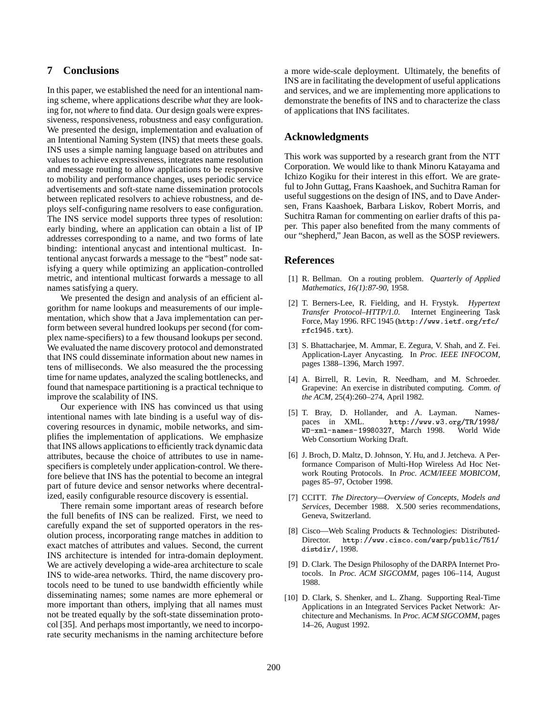## **7 Conclusions**

In this paper, we established the need for an intentional naming scheme, where applications describe *what* they are looking for, not *where* to find data. Our design goals were expressiveness, responsiveness, robustness and easy configuration. We presented the design, implementation and evaluation of an Intentional Naming System (INS) that meets these goals. INS uses a simple naming language based on attributes and values to achieve expressiveness, integrates name resolution and message routing to allow applications to be responsive to mobility and performance changes, uses periodic service advertisements and soft-state name dissemination protocols between replicated resolvers to achieve robustness, and deploys self-configuring name resolvers to ease configuration. The INS service model supports three types of resolution: early binding, where an application can obtain a list of IP addresses corresponding to a name, and two forms of late binding: intentional anycast and intentional multicast. Intentional anycast forwards a message to the "best" node satisfying a query while optimizing an application-controlled metric, and intentional multicast forwards a message to all names satisfying a query.

We presented the design and analysis of an efficient algorithm for name lookups and measurements of our implementation, which show that a Java implementation can perform between several hundred lookups per second (for complex name-specifiers) to a few thousand lookups per second. We evaluated the name discovery protocol and demonstrated that INS could disseminate information about new names in tens of milliseconds. We also measured the the processing time for name updates, analyzed the scaling bottlenecks, and found that namespace partitioning is a practical technique to improve the scalability of INS.

Our experience with INS has convinced us that using intentional names with late binding is a useful way of discovering resources in dynamic, mobile networks, and simplifies the implementation of applications. We emphasize that INS allows applications to efficiently track dynamic data attributes, because the choice of attributes to use in namespecifiers is completely under application-control. We therefore believe that INS has the potential to become an integral part of future device and sensor networks where decentralized, easily configurable resource discovery is essential.

There remain some important areas of research before the full benefits of INS can be realized. First, we need to carefully expand the set of supported operators in the resolution process, incorporating range matches in addition to exact matches of attributes and values. Second, the current INS architecture is intended for intra-domain deployment. We are actively developing a wide-area architecture to scale INS to wide-area networks. Third, the name discovery protocols need to be tuned to use bandwidth efficiently while disseminating names; some names are more ephemeral or more important than others, implying that all names must not be treated equally by the soft-state dissemination protocol [35]. And perhaps most importantly, we need to incorporate security mechanisms in the naming architecture before

a more wide-scale deployment. Ultimately, the benefits of INS are in facilitating the development of useful applications and services, and we are implementing more applications to demonstrate the benefits of INS and to characterize the class of applications that INS facilitates.

## **Acknowledgments**

This work was supported by a research grant from the NTT Corporation. We would like to thank Minoru Katayama and Ichizo Kogiku for their interest in this effort. We are grateful to John Guttag, Frans Kaashoek, and Suchitra Raman for useful suggestions on the design of INS, and to Dave Andersen, Frans Kaashoek, Barbara Liskov, Robert Morris, and Suchitra Raman for commenting on earlier drafts of this paper. This paper also benefited from the many comments of our "shepherd," Jean Bacon, as well as the SOSP reviewers.

### **References**

- [1] R. Bellman. On a routing problem. *Quarterly of Applied Mathematics, 16(1):87-90*, 1958.
- [2] T. Berners-Lee, R. Fielding, and H. Frystyk. *Hypertext Transfer Protocol–HTTP/1.0*. Internet Engineering Task Force, May 1996. RFC 1945 (http://www.ietf.org/rfc/ rfc1945.txt).
- [3] S. Bhattacharjee, M. Ammar, E. Zegura, V. Shah, and Z. Fei. Application-Layer Anycasting. In *Proc. IEEE INFOCOM*, pages 1388–1396, March 1997.
- [4] A. Birrell, R. Levin, R. Needham, and M. Schroeder. Grapevine: An exercise in distributed computing. *Comm. of the ACM*, 25(4):260–274, April 1982.
- [5] T. Bray, D. Hollander, and A. Layman. Namespaces in XML. http://www.w3.org/TR/1998/ WD-xml-names-19980327, March 1998. World Wide Web Consortium Working Draft.
- [6] J. Broch, D. Maltz, D. Johnson, Y. Hu, and J. Jetcheva. A Performance Comparison of Multi-Hop Wireless Ad Hoc Network Routing Protocols. In *Proc. ACM/IEEE MOBICOM*, pages 85–97, October 1998.
- [7] CCITT. *The Directory—Overview of Concepts, Models and Services*, December 1988. X.500 series recommendations, Geneva, Switzerland.
- [8] Cisco—Web Scaling Products & Technologies: Distributed-Director. http://www.cisco.com/warp/public/751/ distdir/, 1998.
- [9] D. Clark. The Design Philosophy of the DARPA Internet Protocols. In *Proc. ACM SIGCOMM*, pages 106–114, August 1988.
- [10] D. Clark, S. Shenker, and L. Zhang. Supporting Real-Time Applications in an Integrated Services Packet Network: Architecture and Mechanisms. In *Proc. ACM SIGCOMM*, pages 14–26, August 1992.